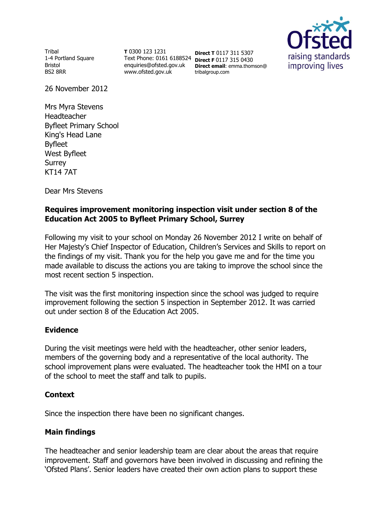Tribal 1-4 Portland Square Bristol BS2 8RR

**T** 0300 123 1231 Text Phone: 0161 6188524 **Direct F** 0117 315 0430 enquiries@ofsted.gov.uk www.ofsted.gov.uk

**Direct T** 0117 311 5307 **Direct email**: emma.thomson@ tribalgroup.com



26 November 2012

Mrs Myra Stevens Headteacher Byfleet Primary School King's Head Lane Byfleet West Byfleet Surrey KT14 7AT

Dear Mrs Stevens

## **Requires improvement monitoring inspection visit under section 8 of the Education Act 2005 to Byfleet Primary School, Surrey**

Following my visit to your school on Monday 26 November 2012 I write on behalf of Her Majesty's Chief Inspector of Education, Children's Services and Skills to report on the findings of my visit. Thank you for the help you gave me and for the time you made available to discuss the actions you are taking to improve the school since the most recent section 5 inspection.

The visit was the first monitoring inspection since the school was judged to require improvement following the section 5 inspection in September 2012. It was carried out under section 8 of the Education Act 2005.

### **Evidence**

During the visit meetings were held with the headteacher, other senior leaders, members of the governing body and a representative of the local authority. The school improvement plans were evaluated. The headteacher took the HMI on a tour of the school to meet the staff and talk to pupils.

### **Context**

Since the inspection there have been no significant changes.

# **Main findings**

The headteacher and senior leadership team are clear about the areas that require improvement. Staff and governors have been involved in discussing and refining the 'Ofsted Plans'. Senior leaders have created their own action plans to support these